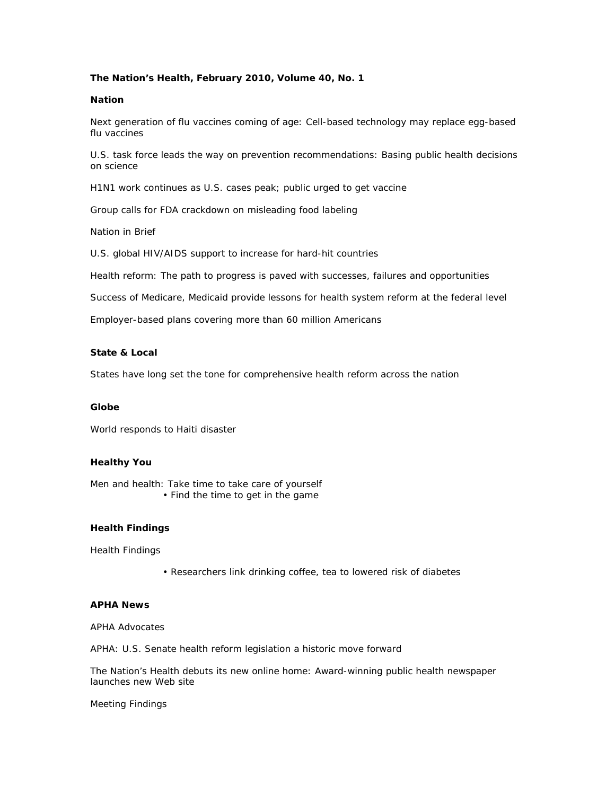## **The Nation's Health, February 2010, Volume 40, No. 1**

### **Nation**

Next generation of flu vaccines coming of age: Cell-based technology may replace egg-based flu vaccines

U.S. task force leads the way on prevention recommendations: Basing public health decisions on science

H1N1 work continues as U.S. cases peak; public urged to get vaccine

Group calls for FDA crackdown on misleading food labeling

Nation in Brief

U.S. global HIV/AIDS support to increase for hard-hit countries

Health reform: The path to progress is paved with successes, failures and opportunities

Success of Medicare, Medicaid provide lessons for health system reform at the federal level

Employer-based plans covering more than 60 million Americans

### **State & Local**

States have long set the tone for comprehensive health reform across the nation

### **Globe**

World responds to Haiti disaster

### **Healthy You**

Men and health: Take time to take care of yourself • Find the time to get in the game

### **Health Findings**

Health Findings

• Researchers link drinking coffee, tea to lowered risk of diabetes

### **APHA News**

APHA Advocates

APHA: U.S. Senate health reform legislation a historic move forward

The Nation's Health debuts its new online home: Award-winning public health newspaper launches new Web site

Meeting Findings